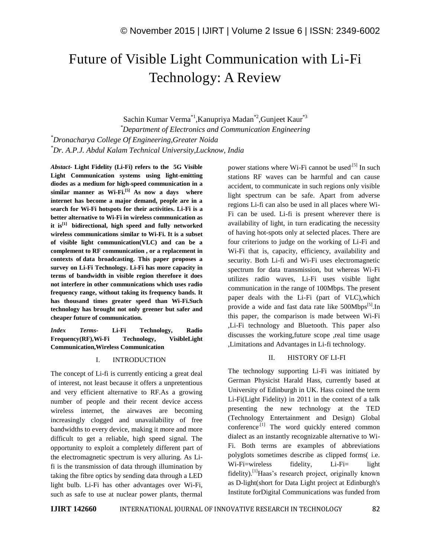# Future of Visible Light Communication with Li-Fi Technology: A Review

Sachin Kumar Verma\*1,Kanupriya Madan\*2,Gunjeet Kaur\*3

*\*Department of Electronics and Communication Engineering \*Dronacharya College Of Engineering,Greater Noida \*Dr. A.P.J. Abdul Kalam Technical University,Lucknow, India*

*Abstact-* **Light Fidelity (Li-Fi) refers to the 5G Visible Light Communication systems using light-emitting diodes as a medium for high-speed communication in a similar manner as Wi-Fi.[5] As now a days where internet has become a major demand, people are in a search for Wi-Fi hotspots for their activities. Li-Fi is a better alternative to Wi-Fi in wireless communication as it is[1] bidirectional, high speed and fully networked wireless communications similar to Wi-Fi. It is a subset of visible light communication(VLC) and can be a complement to RF communication , or a replacement in contexts of data broadcasting. This paper proposes a survey on Li-Fi Technology. Li-Fi has more capacity in terms of bandwidth in visible region therefore it does not interfere in other communications which uses radio frequency range, without taking its frequency bands. It has thousand times greater speed than Wi-Fi.Such technology has brought not only greener but safer and cheaper future of communication.**

*Index Terms-* **Li-Fi Technology, Radio Frequency(RF),Wi-Fi Technology, VisibleLight Communication,Wireless Communication**

# I. INTRODUCTION

The concept of Li-fi is currently enticing a great deal of interest, not least because it offers a unpretentious and very efficient alternative to RF.As a growing number of people and their recent device access wireless internet, the airwaves are becoming increasingly clogged and unavailability of free bandwidths to every device, making it more and more difficult to get a reliable, high speed signal. The opportunity to exploit a completely different part of the electromagnetic spectrum is very alluring. As Lifi is the transmission of data through illumination by taking the fibre optics by sending data through a LED light bulb. Li-Fi has other advantages over Wi-Fi, such as safe to use at nuclear power plants, thermal

power stations where Wi-Fi cannot be used<sup>[5]</sup> In such stations RF waves can be harmful and can cause accident, to communicate in such regions only visible light spectrum can be safe. Apart from adverse regions Li-fi can also be used in all places where Wi-Fi can be used. Li-fi is present wherever there is availability of light, in turn eradicating the necessity of having hot-spots only at selected places. There are four criterions to judge on the working of Li-Fi and Wi-Fi that is, capacity, efficiency, availability and security. Both Li-fi and Wi-Fi uses electromagnetic spectrum for data transmission, but whereas Wi-Fi utilizes radio waves, Li-Fi uses visible light communication in the range of 100Mbps. The present paper deals with the Li-Fi (part of VLC),which provide a wide and fast data rate like 500Mbps<sup>[5]</sup>.In this paper, the comparison is made between Wi-Fi ,Li-Fi technology and Bluetooth. This paper also discusses the working,future scope ,real time usage ,Limitations and Advantages in Li-fi technology.

# II. HISTORY OF LI-FI

The technology supporting Li-Fi was initiated by German Physicist Harald Hass, currently based at University of Edinburgh in UK. Hass coined the term Li-Fi(Light Fidelity) in 2011 in the context of a talk presenting the new technology at the TED (Technology Entertainment and Design) Global conference $^{[1]}$  The word quickly entered common dialect as an instantly recognizable alternative to Wi-Fi. Both terms are examples of abbreviations polyglots sometimes describe as clipped forms( i.e. Wi-Fi=wireless fidelity, Li-Fi= light fidelity).[1]Haas's research project, originally known as D-light(short for Data Light project at Edinburgh's Institute forDigital Communications was funded from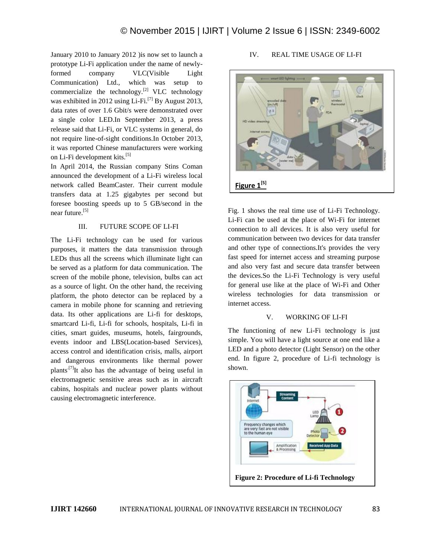January 2010 to January 2012 )is now set to launch a prototype Li-Fi application under the name of newlyformed company VLC(Visible Light Communication) Ltd., which was setup to commercialize the technology. $[2]$  VLC technology was exhibited in 2012 using Li-Fi.<sup>[7]</sup> By August 2013, data rates of over 1.6 Gbit/s were demonstrated over a single color LED.In September 2013, a press release said that Li-Fi, or VLC systems in general, do not require line-of-sight conditions.In October 2013, it was reported Chinese manufacturers were working on Li-Fi development kits.[5]

In April 2014, the Russian company Stins Coman announced the development of a Li-Fi wireless local network called BeamCaster. Their current module transfers data at 1.25 gigabytes per second but foresee boosting speeds up to 5 GB/second in the near future.<sup>[5]</sup>

# III. FUTURE SCOPE OF LI-FI

The Li-Fi technology can be used for various purposes, it matters the data transmission through LEDs thus all the screens which illuminate light can be served as a platform for data communication. The screen of the mobile phone, television, bulbs can act as a source of light. On the other hand, the receiving platform, the photo detector can be replaced by a camera in mobile phone for scanning and retrieving data. Its other applications are Li-fi for desktops, smartcard Li-fi, Li-fi for schools, hospitals, Li-fi in cities, smart guides, museums, hotels, fairgrounds, events indoor and LBS(Location-based Services), access control and identification crisis, malls, airport and dangerous environments like thermal power plants<sup>[7]</sup>It also has the advantage of being useful in electromagnetic sensitive areas such as in aircraft cabins, hospitals and nuclear power plants without causing electromagnetic interference.

# IV. REAL TIME USAGE OF LI-FI



Fig. 1 shows the real time use of Li-Fi Technology. Li-Fi can be used at the place of Wi-Fi for internet connection to all devices. It is also very useful for communication between two devices for data transfer and other type of connections.It's provides the very fast speed for internet access and streaming purpose and also very fast and secure data transfer between the devices.So the Li-Fi Technology is very useful for general use like at the place of Wi-Fi and Other wireless technologies for data transmission or internet access.

# V. WORKING OF LI-FI

The functioning of new Li-Fi technology is just simple. You will have a light source at one end like a LED and a photo detector (Light Sensor) on the other end. In figure 2, procedure of Li-fi technology is shown.

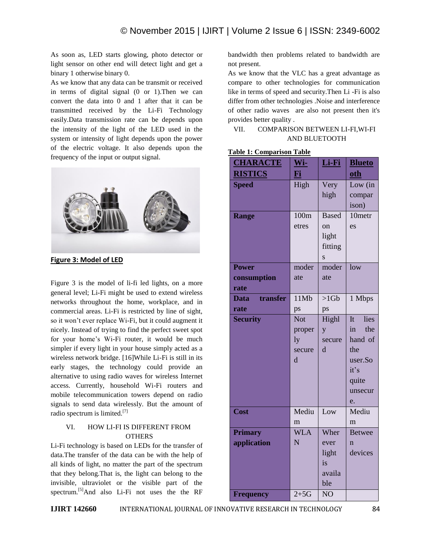As soon as, LED starts glowing, photo detector or light sensor on other end will detect light and get a binary 1 otherwise binary 0.

As we know that any data can be transmit or received in terms of digital signal (0 or 1).Then we can convert the data into 0 and 1 after that it can be transmitted received by the Li-Fi Technology easily.Data transmission rate can be depends upon the intensity of the light of the LED used in the system or intensity of light depends upon the power of the electric voltage. It also depends upon the frequency of the input or output signal.



**Figure 3: Model of LED**

Figure 3 is the model of li-fi led lights, on a more general level; Li-Fi might be used to extend wireless networks throughout the home, workplace, and in commercial areas. Li-Fi is restricted by line of sight, so it won't ever replace Wi-Fi, but it could augment it nicely. Instead of trying to find the perfect sweet spot for your home's Wi-Fi router, it would be much simpler if every light in your house simply acted as a wireless network bridge. [16]While Li-Fi is still in its early stages, the technology could provide an alternative to using radio waves for wireless Internet access. Currently, household Wi-Fi routers and mobile telecommunication towers depend on radio signals to send data wirelessly. But the amount of radio spectrum is limited.[7]

# VI. HOW LI-FI IS DIFFERENT FROM **OTHERS**

Li-Fi technology is based on LEDs for the transfer of data.The transfer of the data can be with the help of all kinds of light, no matter the part of the spectrum that they belong.That is, the light can belong to the invisible, ultraviolet or the visible part of the spectrum.<sup>[5]</sup>And also Li-Fi not uses the the RF

bandwidth then problems related to bandwidth are not present.

As we know that the VLC has a great advantage as compare to other technologies for communication like in terms of speed and security.Then Li -Fi is also differ from other technologies .Noise and interference of other radio waves are also not present then it's provides better quality .

# VII. COMPARISON BETWEEN LI-FI,WI-FI AND BLUETOOTH

| <b>CHARACTE</b>                     | Wi-                                       | Li-Fi                                                                        | <b>Blueto</b>                                                                                      |
|-------------------------------------|-------------------------------------------|------------------------------------------------------------------------------|----------------------------------------------------------------------------------------------------|
| <b>RISTICS</b>                      | Fi                                        |                                                                              | oth                                                                                                |
| <b>Speed</b>                        | High                                      | Very<br>high                                                                 | Low (in<br>compar<br>ison)                                                                         |
| <b>Range</b>                        | 100m<br>etres                             | <b>Based</b><br><sub>on</sub><br>light<br>fitting<br>$\overline{\mathbf{s}}$ | 10metr<br>es                                                                                       |
| <b>Power</b><br>consumption<br>rate | moder<br>ate                              | moder<br>ate                                                                 | low                                                                                                |
| transfer<br>Data                    | 11Mb                                      | $>1$ Gb                                                                      | 1 Mbps                                                                                             |
| rate                                | ps                                        | ps                                                                           |                                                                                                    |
| <b>Security</b>                     | <b>Not</b><br>proper<br>ly<br>secure<br>d | Highl<br>y<br>secure<br>d                                                    | I <sub>t</sub><br>lies<br>in<br>the<br>hand of<br>the<br>user.So<br>it's<br>quite<br>unsecur<br>e. |
| Cost                                | Mediu<br>m                                | Low                                                                          | Mediu<br>m                                                                                         |
| <b>Primary</b><br>application       | <b>WLA</b><br>N                           | Wher<br>ever<br>light<br>is<br>availa<br>ble                                 | <b>Betwee</b><br>$\mathbf n$<br>devices                                                            |
| <b>Frequency</b>                    | $2+5G$                                    | NO                                                                           |                                                                                                    |

#### **Table 1: Comparison Table**